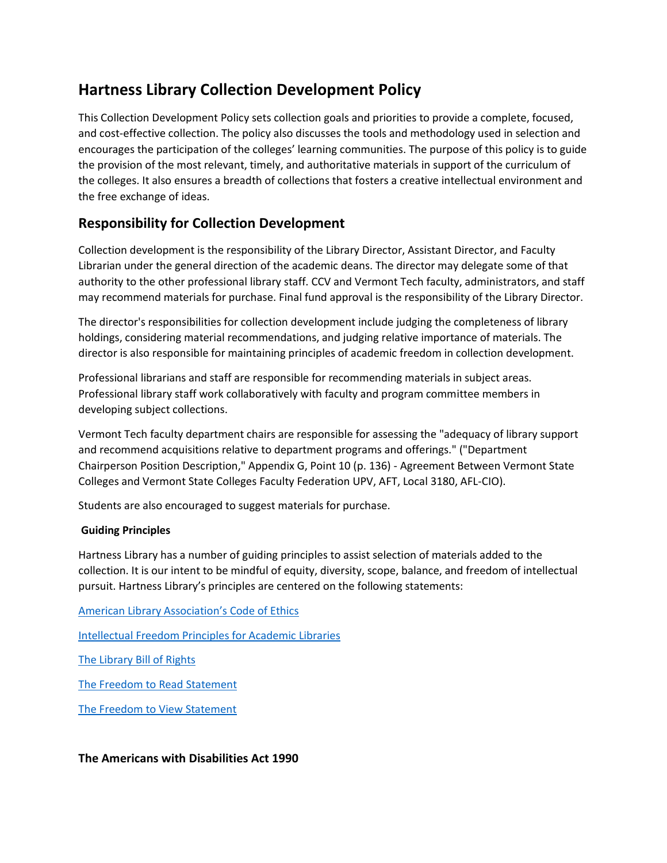# **Hartness Library Collection Development Policy**

This Collection Development Policy sets collection goals and priorities to provide a complete, focused, and cost-effective collection. The policy also discusses the tools and methodology used in selection and encourages the participation of the colleges' learning communities. The purpose of this policy is to guide the provision of the most relevant, timely, and authoritative materials in support of the curriculum of the colleges. It also ensures a breadth of collections that fosters a creative intellectual environment and the free exchange of ideas.

## **Responsibility for Collection Development**

Collection development is the responsibility of the Library Director, Assistant Director, and Faculty Librarian under the general direction of the academic deans. The director may delegate some of that authority to the other professional library staff. CCV and Vermont Tech faculty, administrators, and staff may recommend materials for purchase. Final fund approval is the responsibility of the Library Director.

The director's responsibilities for collection development include judging the completeness of library holdings, considering material recommendations, and judging relative importance of materials. The director is also responsible for maintaining principles of academic freedom in collection development.

Professional librarians and staff are responsible for recommending materials in subject areas. Professional library staff work collaboratively with faculty and program committee members in developing subject collections.

Vermont Tech faculty department chairs are responsible for assessing the "adequacy of library support and recommend acquisitions relative to department programs and offerings." ("Department Chairperson Position Description," Appendix G, Point 10 (p. 136) - Agreement Between Vermont State Colleges and Vermont State Colleges Faculty Federation UPV, AFT, Local 3180, AFL-CIO).

Students are also encouraged to suggest materials for purchase.

## **Guiding Principles**

Hartness Library has a number of guiding principles to assist selection of materials added to the collection. It is our intent to be mindful of equity, diversity, scope, balance, and freedom of intellectual pursuit. Hartness Library's principles are centered on the following statements:

[American Library Association's Code of Ethics](http://www.ala.org/ala/issuesadvocacy/proethics/codeofethics/codeethics.cfm)

[Intellectual Freedom Principles for Academic Libraries](http://www.ala.org/ala/issuesadvocacy/intfreedom/librarybill/interpretations/intellectual.cfm)

[The Library Bill of Rights](http://www.ala.org/ala/issuesadvocacy/intfreedom/librarybill/index.cfm)

[The Freedom to Read Statement](http://www.ala.org/advocacy/intfreedom/statementspols/freedomreadstatement)

[The Freedom to View Statement](http://www.ala.org/ala/mgrps/rts/vrt/professionalresources/vrtresources/freedomtoview.cfm)

**The Americans with Disabilities Act 1990**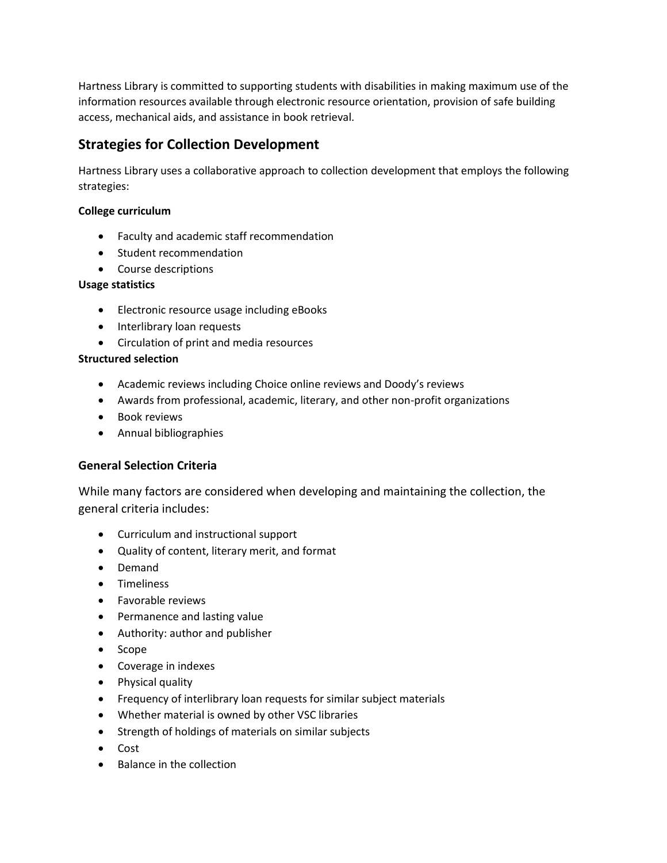Hartness Library is committed to supporting students with disabilities in making maximum use of the information resources available through electronic resource orientation, provision of safe building access, mechanical aids, and assistance in book retrieval.

## **Strategies for Collection Development**

Hartness Library uses a collaborative approach to collection development that employs the following strategies:

#### **College curriculum**

- Faculty and academic staff recommendation
- Student recommendation
- Course descriptions

#### **Usage statistics**

- Electronic resource usage including eBooks
- Interlibrary loan requests
- Circulation of print and media resources

#### **Structured selection**

- Academic reviews including Choice online reviews and Doody's reviews
- Awards from professional, academic, literary, and other non-profit organizations
- Book reviews
- Annual bibliographies

## **General Selection Criteria**

While many factors are considered when developing and maintaining the collection, the general criteria includes:

- Curriculum and instructional support
- Quality of content, literary merit, and format
- Demand
- **•** Timeliness
- Favorable reviews
- Permanence and lasting value
- Authority: author and publisher
- Scope
- Coverage in indexes
- Physical quality
- Frequency of interlibrary loan requests for similar subject materials
- Whether material is owned by other VSC libraries
- Strength of holdings of materials on similar subjects
- Cost
- Balance in the collection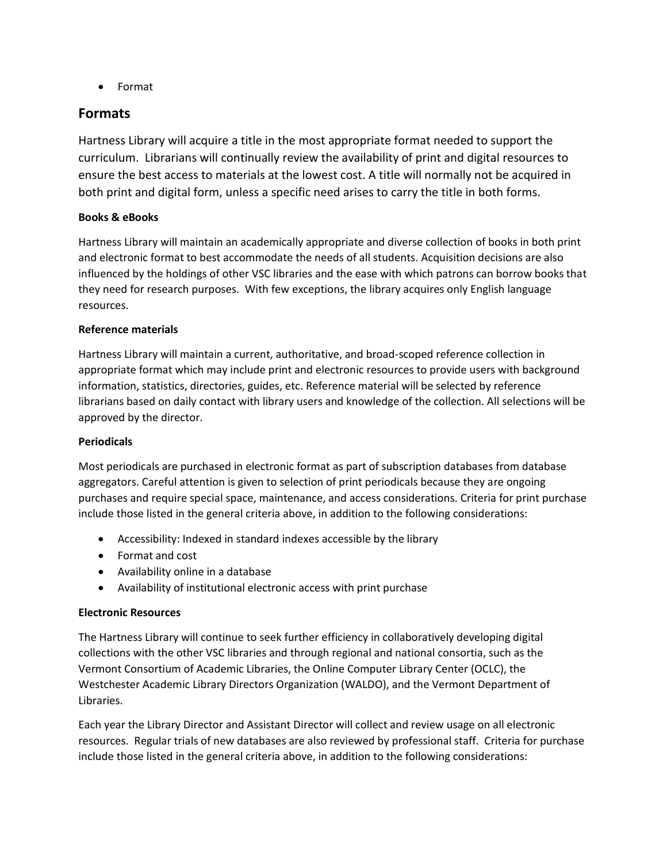Format

## **Formats**

Hartness Library will acquire a title in the most appropriate format needed to support the curriculum. Librarians will continually review the availability of print and digital resources to ensure the best access to materials at the lowest cost. A title will normally not be acquired in both print and digital form, unless a specific need arises to carry the title in both forms.

## **Books & eBooks**

Hartness Library will maintain an academically appropriate and diverse collection of books in both print and electronic format to best accommodate the needs of all students. Acquisition decisions are also influenced by the holdings of other VSC libraries and the ease with which patrons can borrow books that they need for research purposes. With few exceptions, the library acquires only English language resources.

#### **Reference materials**

Hartness Library will maintain a current, authoritative, and broad-scoped reference collection in appropriate format which may include print and electronic resources to provide users with background information, statistics, directories, guides, etc. Reference material will be selected by reference librarians based on daily contact with library users and knowledge of the collection. All selections will be approved by the director.

## **Periodicals**

Most periodicals are purchased in electronic format as part of subscription databases from database aggregators. Careful attention is given to selection of print periodicals because they are ongoing purchases and require special space, maintenance, and access considerations. Criteria for print purchase include those listed in the general criteria above, in addition to the following considerations:

- Accessibility: Indexed in standard indexes accessible by the library
- Format and cost
- Availability online in a database
- Availability of institutional electronic access with print purchase

## **Electronic Resources**

The Hartness Library will continue to seek further efficiency in collaboratively developing digital collections with the other VSC libraries and through regional and national consortia, such as the Vermont Consortium of Academic Libraries, the Online Computer Library Center (OCLC), the Westchester Academic Library Directors Organization (WALDO), and the Vermont Department of Libraries.

Each year the Library Director and Assistant Director will collect and review usage on all electronic resources. Regular trials of new databases are also reviewed by professional staff. Criteria for purchase include those listed in the general criteria above, in addition to the following considerations: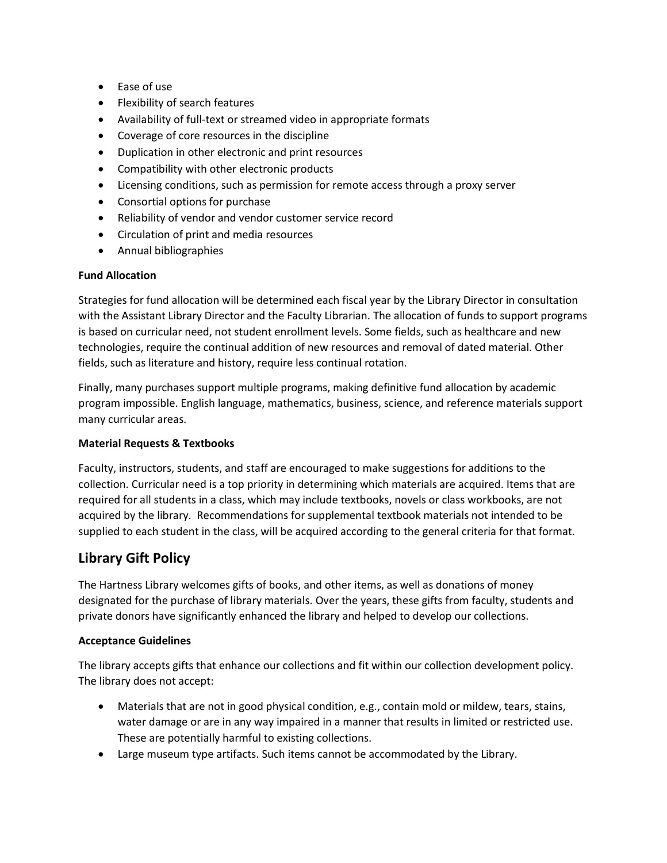- Ease of use
- Flexibility of search features
- Availability of full-text or streamed video in appropriate formats
- Coverage of core resources in the discipline
- Duplication in other electronic and print resources
- Compatibility with other electronic products
- Licensing conditions, such as permission for remote access through a proxy server
- Consortial options for purchase
- Reliability of vendor and vendor customer service record
- Circulation of print and media resources
- Annual bibliographies

## **Fund Allocation**

Strategies for fund allocation will be determined each fiscal year by the Library Director in consultation with the Assistant Library Director and the Faculty Librarian. The allocation of funds to support programs is based on curricular need, not student enrollment levels. Some fields, such as healthcare and new technologies, require the continual addition of new resources and removal of dated material. Other fields, such as literature and history, require less continual rotation.

Finally, many purchases support multiple programs, making definitive fund allocation by academic program impossible. English language, mathematics, business, science, and reference materials support many curricular areas.

## **Material Requests & Textbooks**

Faculty, instructors, students, and staff are encouraged to make suggestions for additions to the collection. Curricular need is a top priority in determining which materials are acquired. Items that are required for all students in a class, which may include textbooks, novels or class workbooks, are not acquired by the library. Recommendations for supplemental textbook materials not intended to be supplied to each student in the class, will be acquired according to the general criteria for that format.

## **Library Gift Policy**

The Hartness Library welcomes gifts of books, and other items, as well as donations of money designated for the purchase of library materials. Over the years, these gifts from faculty, students and private donors have significantly enhanced the library and helped to develop our collections.

#### **Acceptance Guidelines**

The library accepts gifts that enhance our collections and fit within our collection development policy. The library does not accept:

- Materials that are not in good physical condition, e.g., contain mold or mildew, tears, stains, water damage or are in any way impaired in a manner that results in limited or restricted use. These are potentially harmful to existing collections.
- Large museum type artifacts. Such items cannot be accommodated by the Library.